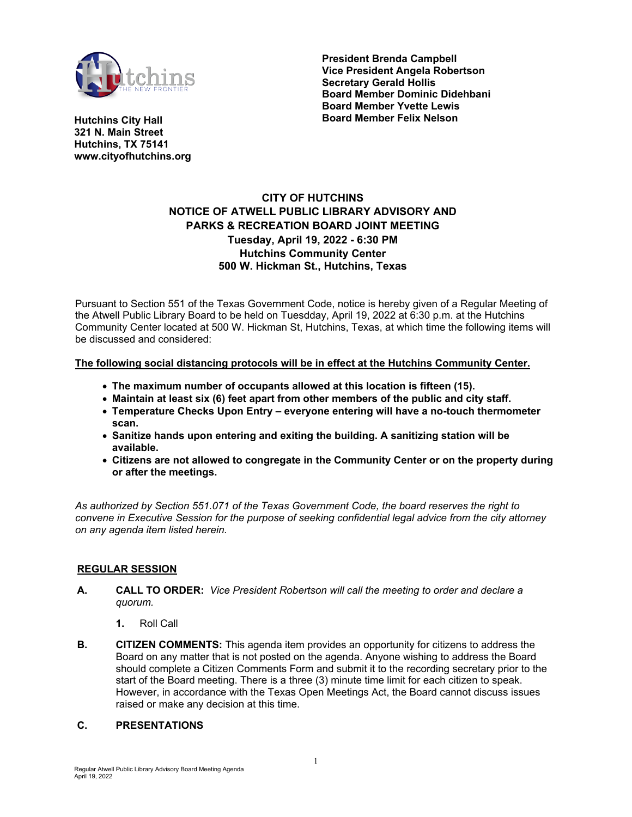

**President Brenda Campbell Vice President Angela Robertson Secretary Gerald Hollis Board Member Dominic Didehbani Board Member Yvette Lewis Board Member Felix Nelson**

**Hutchins City Hall 321 N. Main Street Hutchins, TX 75141 www.cityofhutchins.org**

# **CITY OF HUTCHINS NOTICE OF ATWELL PUBLIC LIBRARY ADVISORY AND PARKS & RECREATION BOARD JOINT MEETING Tuesday, April 19, 2022 - 6:30 PM Hutchins Community Center 500 W. Hickman St., Hutchins, Texas**

Pursuant to Section 551 of the Texas Government Code, notice is hereby given of a Regular Meeting of the Atwell Public Library Board to be held on Tuesdday, April 19, 2022 at 6:30 p.m. at the Hutchins Community Center located at 500 W. Hickman St, Hutchins, Texas, at which time the following items will be discussed and considered:

## **The following social distancing protocols will be in effect at the Hutchins Community Center.**

- **The maximum number of occupants allowed at this location is fifteen (15).**
- **Maintain at least six (6) feet apart from other members of the public and city staff.**
- **Temperature Checks Upon Entry everyone entering will have a no-touch thermometer scan.**
- **Sanitize hands upon entering and exiting the building. A sanitizing station will be available.**
- **Citizens are not allowed to congregate in the Community Center or on the property during or after the meetings.**

*As authorized by Section 551.071 of the Texas Government Code, the board reserves the right to convene in Executive Session for the purpose of seeking confidential legal advice from the city attorney on any agenda item listed herein.*

### **REGULAR SESSION**

- **A. CALL TO ORDER:** *Vice President Robertson will call the meeting to order and declare a quorum.*
	- **1.** Roll Call
- **B. CITIZEN COMMENTS:** This agenda item provides an opportunity for citizens to address the Board on any matter that is not posted on the agenda. Anyone wishing to address the Board should complete a Citizen Comments Form and submit it to the recording secretary prior to the start of the Board meeting. There is a three (3) minute time limit for each citizen to speak. However, in accordance with the Texas Open Meetings Act, the Board cannot discuss issues raised or make any decision at this time.

### **C. PRESENTATIONS**